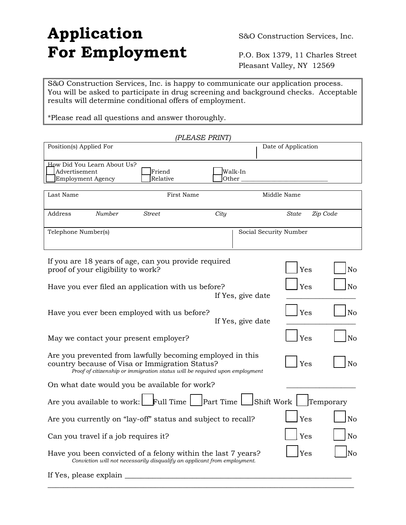# Application S&O Construction Services, Inc. For Employment P.O. Box 1379, 11 Charles Street

Pleasant Valley, NY 12569

S&O Construction Services, Inc. is happy to communicate our application process. You will be asked to participate in drug screening and background checks. Acceptable results will determine conditional offers of employment.

\*Please read all questions and answer thoroughly.

*(PLEASE PRINT)* 

| Position(s) Applied For                                                                                                                                                                                             |                   | Date of Application    |                |
|---------------------------------------------------------------------------------------------------------------------------------------------------------------------------------------------------------------------|-------------------|------------------------|----------------|
| How Did You Learn About Us?<br>Advertisement<br>Friend<br>Employment Agency<br>Relative                                                                                                                             | Walk-In<br>Other  |                        |                |
| Last Name<br>First Name                                                                                                                                                                                             |                   | Middle Name            |                |
| <b>Number</b><br><b>Street</b><br>Address                                                                                                                                                                           | City              | State                  | Zip Code       |
| Telephone Number(s)                                                                                                                                                                                                 |                   | Social Security Number |                |
| If you are 18 years of age, can you provide required<br>proof of your eligibility to work?                                                                                                                          |                   | Yes                    | N <sub>o</sub> |
| Have you ever filed an application with us before?                                                                                                                                                                  | If Yes, give date | Yes                    | N <sub>o</sub> |
| Have you ever been employed with us before?                                                                                                                                                                         | If Yes, give date | Yes                    | N <sub>o</sub> |
| May we contact your present employer?                                                                                                                                                                               |                   | Yes                    | N <sub>o</sub> |
| Are you prevented from lawfully becoming employed in this<br>N <sub>o</sub><br>Yes<br>country because of Visa or Immigration Status?<br>Proof of citizenship or immigration status will be required upon employment |                   |                        |                |
| On what date would you be available for work?                                                                                                                                                                       |                   |                        |                |
| Are you available to work: $\Box$ Full Time $\Box$ Part Time $\Box$ Shift Work $\Box$<br>Temporary                                                                                                                  |                   |                        |                |
| Are you currently on "lay-off" status and subject to recall?                                                                                                                                                        |                   | Yes                    | N <sub>o</sub> |
| Can you travel if a job requires it?                                                                                                                                                                                |                   | Yes                    | N <sub>o</sub> |
| No<br>Yes<br>Have you been convicted of a felony within the last 7 years?<br>Conviction will not necessarily disqualify an applicant from employment.                                                               |                   |                        |                |
| If Yes, please explain                                                                                                                                                                                              |                   |                        |                |

 $\_$  , and the set of the set of the set of the set of the set of the set of the set of the set of the set of the set of the set of the set of the set of the set of the set of the set of the set of the set of the set of th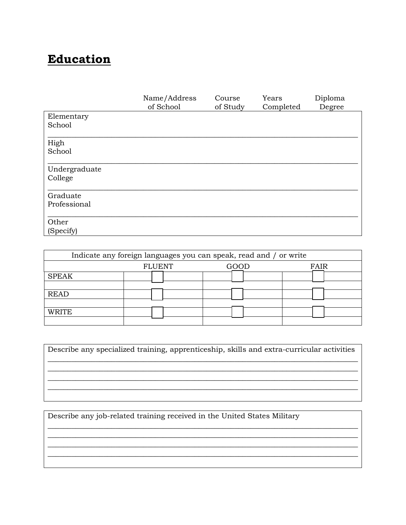## **Education**

|               | Name/Address | Course   | Years     | Diploma |
|---------------|--------------|----------|-----------|---------|
|               | of School    | of Study | Completed | Degree  |
| Elementary    |              |          |           |         |
| School        |              |          |           |         |
| High          |              |          |           |         |
| School        |              |          |           |         |
| Undergraduate |              |          |           |         |
| College       |              |          |           |         |
| Graduate      |              |          |           |         |
| Professional  |              |          |           |         |
| Other         |              |          |           |         |
| (Specify)     |              |          |           |         |

| Indicate any foreign languages you can speak, read and / or write |               |      |      |
|-------------------------------------------------------------------|---------------|------|------|
|                                                                   | <b>FLUENT</b> | GOOD | FAIR |
| <b>SPEAK</b>                                                      |               |      |      |
|                                                                   |               |      |      |
| <b>READ</b>                                                       |               |      |      |
|                                                                   |               |      |      |
| WRITE                                                             |               |      |      |
|                                                                   |               |      |      |

| Describe any specialized training, apprenticeship, skills and extra-curricular activities |  |
|-------------------------------------------------------------------------------------------|--|
|                                                                                           |  |
|                                                                                           |  |
|                                                                                           |  |
|                                                                                           |  |

Describe any job-related training received in the United States Military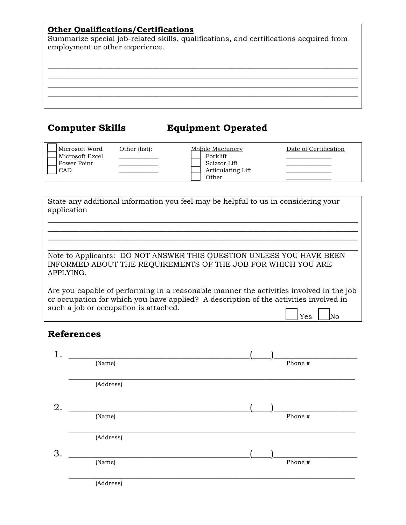### **Other Qualifications/Certifications**

Summarize special job-related skills, qualifications, and certifications acquired from employment or other experience.

\_\_\_\_\_\_\_\_\_\_\_\_\_\_\_\_\_\_\_\_\_\_\_\_\_\_\_\_\_\_\_\_\_\_\_\_\_\_\_\_\_\_\_\_\_\_\_\_\_\_\_\_\_\_\_\_\_\_\_\_\_\_\_\_\_\_\_\_\_\_\_\_\_\_\_\_\_\_  $\_$  , and the set of the set of the set of the set of the set of the set of the set of the set of the set of the set of the set of the set of the set of the set of the set of the set of the set of the set of the set of th \_\_\_\_\_\_\_\_\_\_\_\_\_\_\_\_\_\_\_\_\_\_\_\_\_\_\_\_\_\_\_\_\_\_\_\_\_\_\_\_\_\_\_\_\_\_\_\_\_\_\_\_\_\_\_\_\_\_\_\_\_\_\_\_\_\_\_\_\_\_\_\_\_\_\_\_\_\_ \_\_\_\_\_\_\_\_\_\_\_\_\_\_\_\_\_\_\_\_\_\_\_\_\_\_\_\_\_\_\_\_\_\_\_\_\_\_\_\_\_\_\_\_\_\_\_\_\_\_\_\_\_\_\_\_\_\_\_\_\_\_\_\_\_\_\_\_\_\_\_\_\_\_\_\_\_\_

### **Computer Skills Equipment Operated**

| Microsoft Word  | Other (list): | Mobile Machinery  | Date of Certification |
|-----------------|---------------|-------------------|-----------------------|
| Microsoft Excel |               | Forklift          |                       |
| Power Point     |               | Scizzor Lift      |                       |
| <b>CAD</b>      |               | Articulating Lift |                       |
|                 |               | Other             |                       |

| State any additional information you feel may be helpful to us in considering your<br>application                                                                                                                         |
|---------------------------------------------------------------------------------------------------------------------------------------------------------------------------------------------------------------------------|
|                                                                                                                                                                                                                           |
|                                                                                                                                                                                                                           |
| Note to Applicants: DO NOT ANSWER THIS QUESTION UNLESS YOU HAVE BEEN<br>INFORMED ABOUT THE REQUIREMENTS OF THE JOB FOR WHICH YOU ARE<br>APPLYING.                                                                         |
| Are you capable of performing in a reasonable manner the activities involved in the job<br>or occupation for which you have applied? A description of the activities involved in<br>such a job or occupation is attached. |

### **References**

|    | (Name)    | Phone # |
|----|-----------|---------|
|    | (Address) |         |
| 2. |           |         |
|    | (Name)    | Phone # |
|    | (Address) |         |
| 3. |           |         |
|    | (Name)    | Phone # |
|    | (Address) |         |